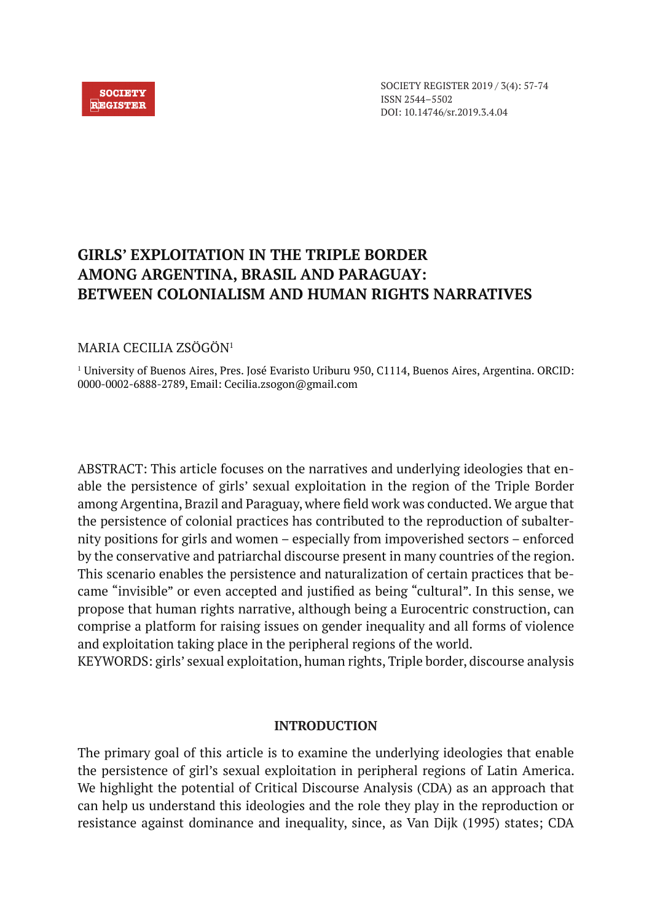### **SOCIETY REGISTER**

SOCIETY REGISTER 2019 / 3(4): 57-74 ISSN 2544–5502 DOI: 10.14746/sr.2019.3.4.04

# **GIRLS' EXPLOITATION IN THE TRIPLE BORDER AMONG ARGENTINA, BRASIL AND PARAGUAY: BETWEEN COLONIALISM AND HUMAN RIGHTS NARRATIVES**

# MARIA CECILIA ZSÖGÖN1

1 University of Buenos Aires, Pres. José Evaristo Uriburu 950, C1114, Buenos Aires, Argentina. ORCID: 0000-0002-6888-2789, Email: Cecilia.zsogon@gmail.com

ABSTRACT: This article focuses on the narratives and underlying ideologies that enable the persistence of girls' sexual exploitation in the region of the Triple Border among Argentina, Brazil and Paraguay, where field work was conducted. We argue that the persistence of colonial practices has contributed to the reproduction of subalternity positions for girls and women – especially from impoverished sectors – enforced by the conservative and patriarchal discourse present in many countries of the region. This scenario enables the persistence and naturalization of certain practices that became "invisible" or even accepted and justified as being "cultural". In this sense, we propose that human rights narrative, although being a Eurocentric construction, can comprise a platform for raising issues on gender inequality and all forms of violence and exploitation taking place in the peripheral regions of the world.

KEYWORDS: girls' sexual exploitation, human rights, Triple border, discourse analysis

# **INTRODUCTION**

The primary goal of this article is to examine the underlying ideologies that enable the persistence of girl's sexual exploitation in peripheral regions of Latin America. We highlight the potential of Critical Discourse Analysis (CDA) as an approach that can help us understand this ideologies and the role they play in the reproduction or resistance against dominance and inequality, since, as Van Dijk (1995) states; CDA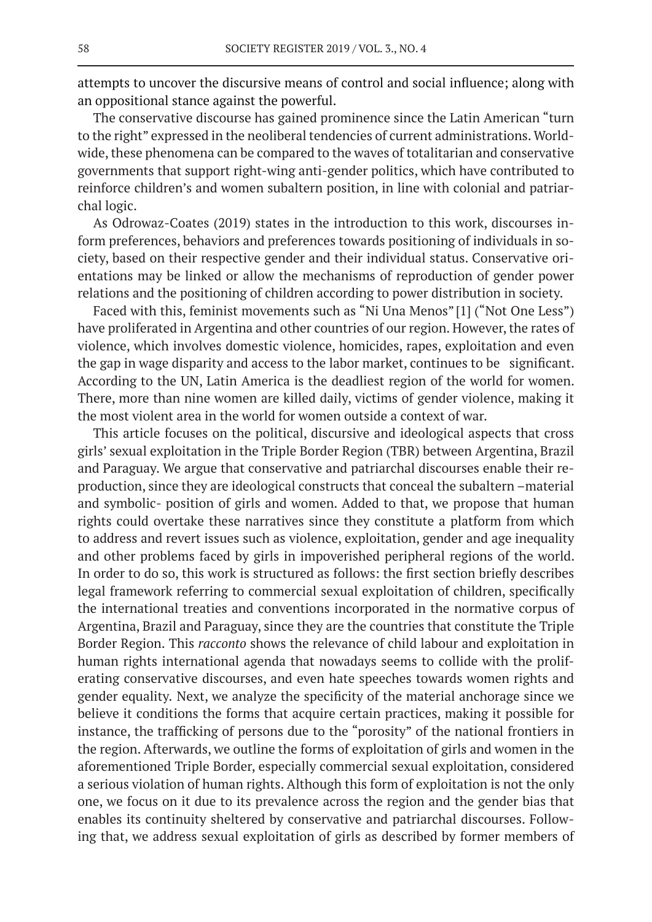attempts to uncover the discursive means of control and social influence; along with an oppositional stance against the powerful.

The conservative discourse has gained prominence since the Latin American "turn to the right" expressed in the neoliberal tendencies of current administrations. Worldwide, these phenomena can be compared to the waves of totalitarian and conservative governments that support right-wing anti-gender politics, which have contributed to reinforce children's and women subaltern position, in line with colonial and patriarchal logic.

As Odrowaz-Coates (2019) states in the introduction to this work, discourses inform preferences, behaviors and preferences towards positioning of individuals in society, based on their respective gender and their individual status. Conservative orientations may be linked or allow the mechanisms of reproduction of gender power relations and the positioning of children according to power distribution in society.

Faced with this, feminist movements such as "Ni Una Menos" [1] ("Not One Less") have proliferated in Argentina and other countries of our region. However, the rates of violence, which involves domestic violence, homicides, rapes, exploitation and even the gap in wage disparity and access to the labor market, continues to be significant. According to the UN, Latin America is the deadliest region of the world for women. There, more than nine women are killed daily, victims of gender violence, making it the most violent area in the world for women outside a context of war.

This article focuses on the political, discursive and ideological aspects that cross girls' sexual exploitation in the Triple Border Region (TBR) between Argentina, Brazil and Paraguay. We argue that conservative and patriarchal discourses enable their reproduction, since they are ideological constructs that conceal the subaltern –material and symbolic- position of girls and women. Added to that, we propose that human rights could overtake these narratives since they constitute a platform from which to address and revert issues such as violence, exploitation, gender and age inequality and other problems faced by girls in impoverished peripheral regions of the world. In order to do so, this work is structured as follows: the first section briefly describes legal framework referring to commercial sexual exploitation of children, specifically the international treaties and conventions incorporated in the normative corpus of Argentina, Brazil and Paraguay, since they are the countries that constitute the Triple Border Region. This *racconto* shows the relevance of child labour and exploitation in human rights international agenda that nowadays seems to collide with the proliferating conservative discourses, and even hate speeches towards women rights and gender equality*.* Next, we analyze the specificity of the material anchorage since we believe it conditions the forms that acquire certain practices, making it possible for instance, the trafficking of persons due to the "porosity" of the national frontiers in the region. Afterwards, we outline the forms of exploitation of girls and women in the aforementioned Triple Border, especially commercial sexual exploitation, considered a serious violation of human rights. Although this form of exploitation is not the only one, we focus on it due to its prevalence across the region and the gender bias that enables its continuity sheltered by conservative and patriarchal discourses. Following that, we address sexual exploitation of girls as described by former members of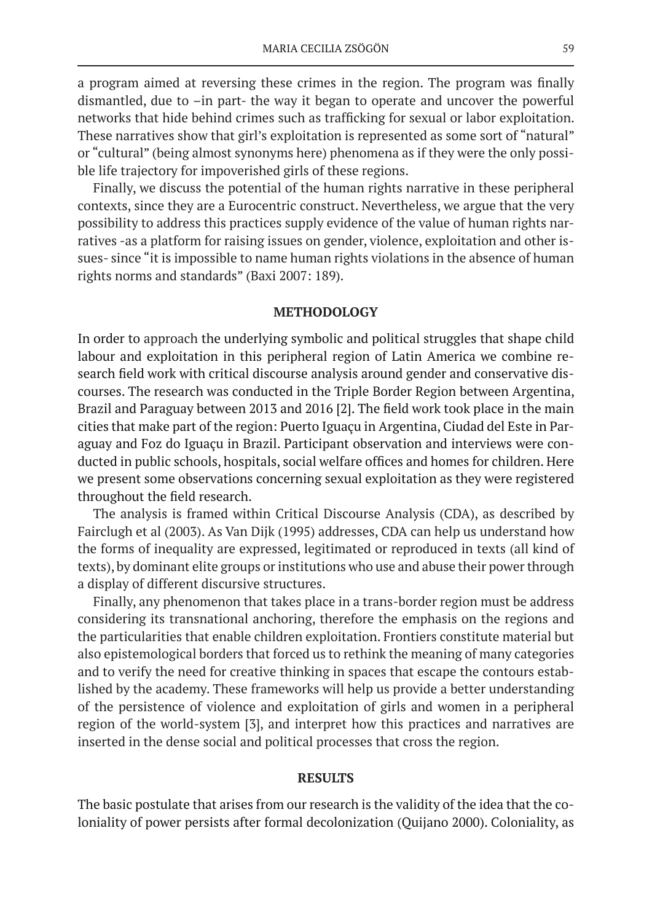a program aimed at reversing these crimes in the region. The program was finally dismantled, due to –in part- the way it began to operate and uncover the powerful networks that hide behind crimes such as trafficking for sexual or labor exploitation. These narratives show that girl's exploitation is represented as some sort of "natural" or "cultural" (being almost synonyms here) phenomena as if they were the only possible life trajectory for impoverished girls of these regions.

Finally, we discuss the potential of the human rights narrative in these peripheral contexts, since they are a Eurocentric construct. Nevertheless, we argue that the very possibility to address this practices supply evidence of the value of human rights narratives -as a platform for raising issues on gender, violence, exploitation and other issues- since "it is impossible to name human rights violations in the absence of human rights norms and standards" (Baxi 2007: 189).

#### **METHODOLOGY**

In order to approach the underlying symbolic and political struggles that shape child labour and exploitation in this peripheral region of Latin America we combine research field work with critical discourse analysis around gender and conservative discourses. The research was conducted in the Triple Border Region between Argentina, Brazil and Paraguay between 2013 and 2016 [2]. The field work took place in the main cities that make part of the region: Puerto Iguaçu in Argentina, Ciudad del Este in Paraguay and Foz do Iguaçu in Brazil. Participant observation and interviews were conducted in public schools, hospitals, social welfare offices and homes for children. Here we present some observations concerning sexual exploitation as they were registered throughout the field research.

The analysis is framed within Critical Discourse Analysis (CDA), as described by Fairclugh et al (2003). As Van Dijk (1995) addresses, CDA can help us understand how the forms of inequality are expressed, legitimated or reproduced in texts (all kind of texts), by dominant elite groups or institutions who use and abuse their power through a display of different discursive structures.

Finally, any phenomenon that takes place in a trans-border region must be address considering its transnational anchoring, therefore the emphasis on the regions and the particularities that enable children exploitation. Frontiers constitute material but also epistemological borders that forced us to rethink the meaning of many categories and to verify the need for creative thinking in spaces that escape the contours established by the academy. These frameworks will help us provide a better understanding of the persistence of violence and exploitation of girls and women in a peripheral region of the world-system [3], and interpret how this practices and narratives are inserted in the dense social and political processes that cross the region.

# **RESULTS**

The basic postulate that arises from our research is the validity of the idea that the coloniality of power persists after formal decolonization (Quijano 2000). Coloniality, as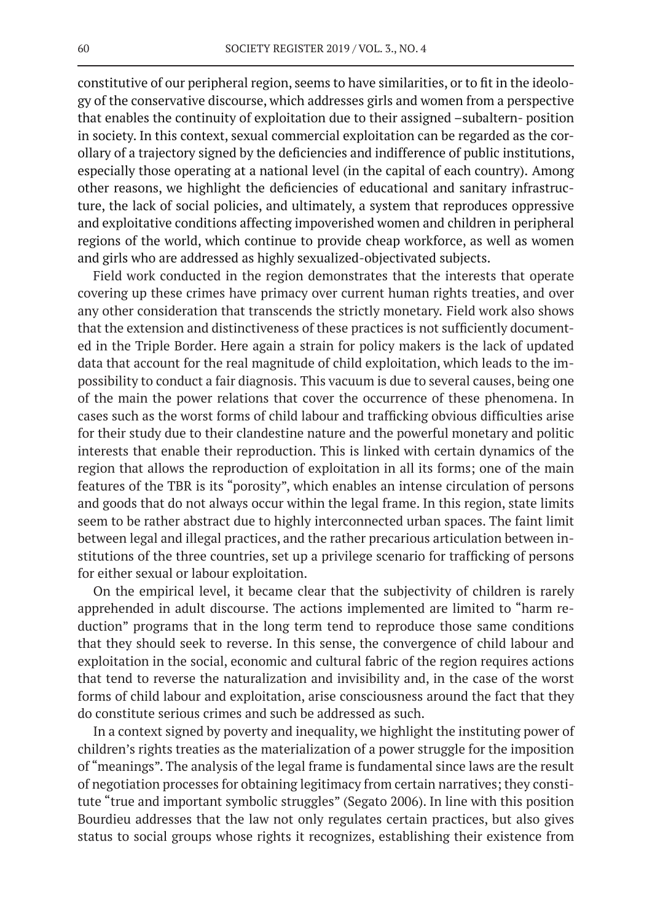constitutive of our peripheral region, seems to have similarities, or to fit in the ideology of the conservative discourse, which addresses girls and women from a perspective that enables the continuity of exploitation due to their assigned –subaltern- position in society. In this context, sexual commercial exploitation can be regarded as the corollary of a trajectory signed by the deficiencies and indifference of public institutions, especially those operating at a national level (in the capital of each country). Among other reasons, we highlight the deficiencies of educational and sanitary infrastructure, the lack of social policies, and ultimately, a system that reproduces oppressive and exploitative conditions affecting impoverished women and children in peripheral regions of the world, which continue to provide cheap workforce, as well as women and girls who are addressed as highly sexualized-objectivated subjects.

Field work conducted in the region demonstrates that the interests that operate covering up these crimes have primacy over current human rights treaties, and over any other consideration that transcends the strictly monetary. Field work also shows that the extension and distinctiveness of these practices is not sufficiently documented in the Triple Border. Here again a strain for policy makers is the lack of updated data that account for the real magnitude of child exploitation, which leads to the impossibility to conduct a fair diagnosis. This vacuum is due to several causes, being one of the main the power relations that cover the occurrence of these phenomena. In cases such as the worst forms of child labour and trafficking obvious difficulties arise for their study due to their clandestine nature and the powerful monetary and politic interests that enable their reproduction. This is linked with certain dynamics of the region that allows the reproduction of exploitation in all its forms; one of the main features of the TBR is its "porosity", which enables an intense circulation of persons and goods that do not always occur within the legal frame. In this region, state limits seem to be rather abstract due to highly interconnected urban spaces. The faint limit between legal and illegal practices, and the rather precarious articulation between institutions of the three countries, set up a privilege scenario for trafficking of persons for either sexual or labour exploitation.

On the empirical level, it became clear that the subjectivity of children is rarely apprehended in adult discourse. The actions implemented are limited to "harm reduction" programs that in the long term tend to reproduce those same conditions that they should seek to reverse. In this sense, the convergence of child labour and exploitation in the social, economic and cultural fabric of the region requires actions that tend to reverse the naturalization and invisibility and, in the case of the worst forms of child labour and exploitation, arise consciousness around the fact that they do constitute serious crimes and such be addressed as such.

In a context signed by poverty and inequality, we highlight the instituting power of children's rights treaties as the materialization of a power struggle for the imposition of "meanings". The analysis of the legal frame is fundamental since laws are the result of negotiation processes for obtaining legitimacy from certain narratives; they constitute "true and important symbolic struggles" (Segato 2006). In line with this position Bourdieu addresses that the law not only regulates certain practices, but also gives status to social groups whose rights it recognizes, establishing their existence from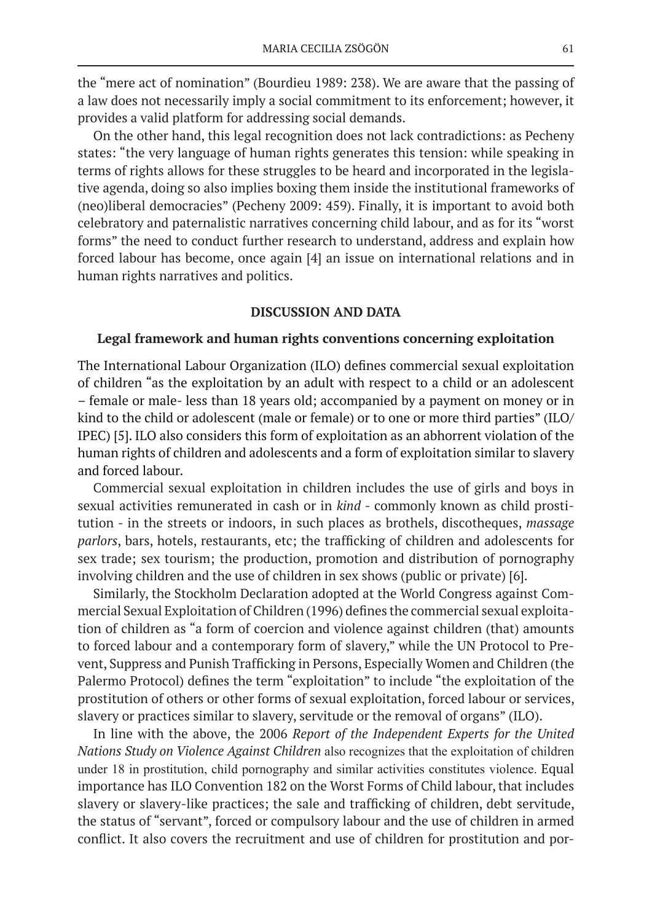the "mere act of nomination" (Bourdieu 1989: 238). We are aware that the passing of a law does not necessarily imply a social commitment to its enforcement; however, it provides a valid platform for addressing social demands.

On the other hand, this legal recognition does not lack contradictions: as Pecheny states: "the very language of human rights generates this tension: while speaking in terms of rights allows for these struggles to be heard and incorporated in the legislative agenda, doing so also implies boxing them inside the institutional frameworks of (neo)liberal democracies" (Pecheny 2009: 459). Finally, it is important to avoid both celebratory and paternalistic narratives concerning child labour, and as for its "worst forms" the need to conduct further research to understand, address and explain how forced labour has become, once again [4] an issue on international relations and in human rights narratives and politics.

# **DISCUSSION AND DATA**

### **Legal framework and human rights conventions concerning exploitation**

The International Labour Organization (ILO) defines commercial sexual exploitation of children "as the exploitation by an adult with respect to a child or an adolescent – female or male- less than 18 years old; accompanied by a payment on money or in kind to the child or adolescent (male or female) or to one or more third parties" (ILO/ IPEC) [5]. ILO also considers this form of exploitation as an abhorrent violation of the human rights of children and adolescents and a form of exploitation similar to slavery and forced labour.

Commercial sexual exploitation in children includes the use of girls and boys in sexual activities remunerated in cash or in *kind* - commonly known as child prostitution - in the streets or indoors, in such places as brothels, discotheques, *massage parlors*, bars, hotels, restaurants, etc; the trafficking of children and adolescents for sex trade; sex tourism; the production, promotion and distribution of pornography involving children and the use of children in sex shows (public or private) [6].

Similarly, the Stockholm Declaration adopted at the World Congress against Commercial Sexual Exploitation of Children (1996) defines the commercial sexual exploitation of children as "a form of coercion and violence against children (that) amounts to forced labour and a contemporary form of slavery," while the UN Protocol to Prevent, Suppress and Punish Trafficking in Persons, Especially Women and Children (the Palermo Protocol) defines the term "exploitation" to include "the exploitation of the prostitution of others or other forms of sexual exploitation, forced labour or services, slavery or practices similar to slavery, servitude or the removal of organs" (ILO).

In line with the above, the 2006 *Report of the Independent Experts for the United Nations Study on Violence Against Children* also recognizes that the exploitation of children under 18 in prostitution, child pornography and similar activities constitutes violence. Equal importance has ILO Convention 182 on the Worst Forms of Child labour, that includes slavery or slavery-like practices; the sale and trafficking of children, debt servitude, the status of "servant", forced or compulsory labour and the use of children in armed conflict. It also covers the recruitment and use of children for prostitution and por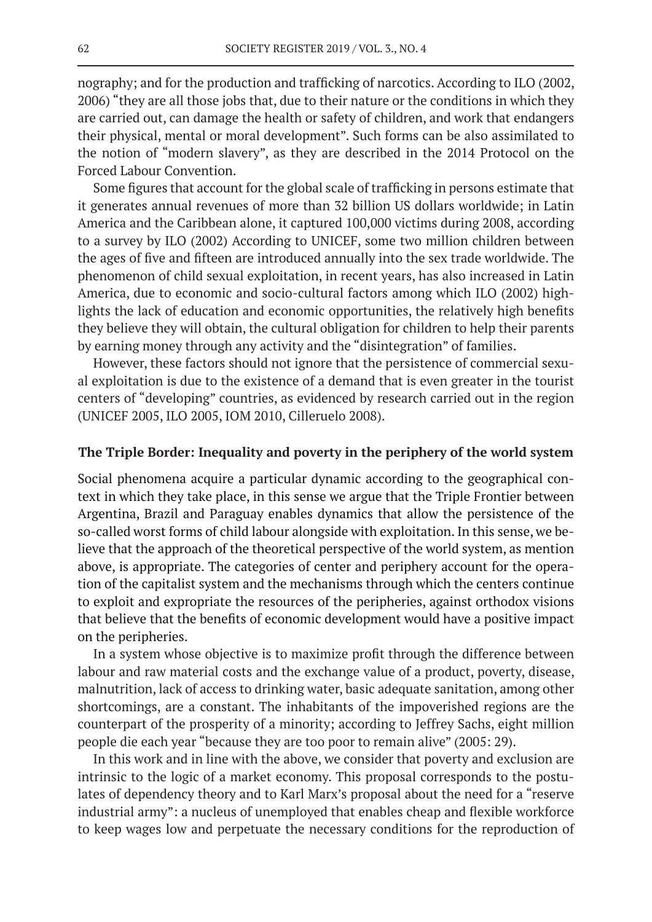nography; and for the production and trafficking of narcotics. According to ILO (2002, 2006) "they are all those jobs that, due to their nature or the conditions in which they are carried out, can damage the health or safety of children, and work that endangers their physical, mental or moral development". Such forms can be also assimilated to the notion of "modern slavery", as they are described in the 2014 Protocol on the Forced Labour Convention.

Some figures that account for the global scale of trafficking in persons estimate that it generates annual revenues of more than 32 billion US dollars worldwide; in Latin America and the Caribbean alone, it captured 100,000 victims during 2008, according to a survey by ILO (2002) According to UNICEF, some two million children between the ages of five and fifteen are introduced annually into the sex trade worldwide. The phenomenon of child sexual exploitation, in recent years, has also increased in Latin America, due to economic and socio-cultural factors among which ILO (2002) highlights the lack of education and economic opportunities, the relatively high benefits they believe they will obtain, the cultural obligation for children to help their parents by earning money through any activity and the "disintegration" of families.

However, these factors should not ignore that the persistence of commercial sexual exploitation is due to the existence of a demand that is even greater in the tourist centers of "developing" countries, as evidenced by research carried out in the region (UNICEF 2005, ILO 2005, IOM 2010, Cilleruelo 2008).

#### **The Triple Border: Inequality and poverty in the periphery of the world system**

Social phenomena acquire a particular dynamic according to the geographical context in which they take place, in this sense we argue that the Triple Frontier between Argentina, Brazil and Paraguay enables dynamics that allow the persistence of the so-called worst forms of child labour alongside with exploitation. In this sense, we believe that the approach of the theoretical perspective of the world system, as mention above, is appropriate. The categories of center and periphery account for the operation of the capitalist system and the mechanisms through which the centers continue to exploit and expropriate the resources of the peripheries, against orthodox visions that believe that the benefits of economic development would have a positive impact on the peripheries.

In a system whose objective is to maximize profit through the difference between labour and raw material costs and the exchange value of a product, poverty, disease, malnutrition, lack of access to drinking water, basic adequate sanitation, among other shortcomings, are a constant. The inhabitants of the impoverished regions are the counterpart of the prosperity of a minority; according to Jeffrey Sachs, eight million people die each year "because they are too poor to remain alive" (2005: 29).

In this work and in line with the above, we consider that poverty and exclusion are intrinsic to the logic of a market economy. This proposal corresponds to the postulates of dependency theory and to Karl Marx's proposal about the need for a "reserve industrial army": a nucleus of unemployed that enables cheap and flexible workforce to keep wages low and perpetuate the necessary conditions for the reproduction of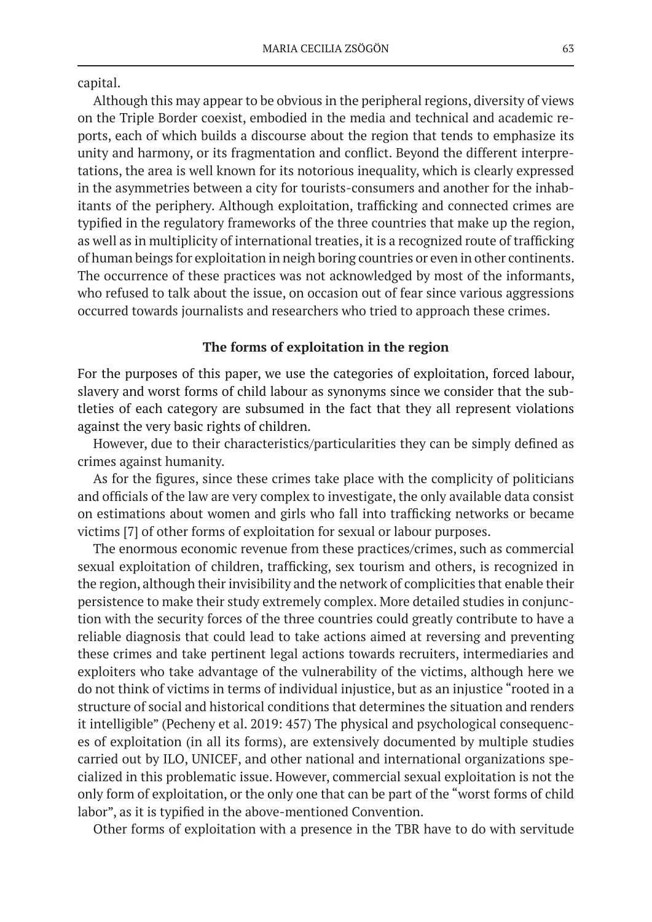capital.

Although this may appear to be obvious in the peripheral regions, diversity of views on the Triple Border coexist, embodied in the media and technical and academic reports, each of which builds a discourse about the region that tends to emphasize its unity and harmony, or its fragmentation and conflict. Beyond the different interpretations, the area is well known for its notorious inequality, which is clearly expressed in the asymmetries between a city for tourists-consumers and another for the inhabitants of the periphery. Although exploitation, trafficking and connected crimes are typified in the regulatory frameworks of the three countries that make up the region, as well as in multiplicity of international treaties, it is a recognized route of trafficking of human beings for exploitation in neigh boring countries or even in other continents. The occurrence of these practices was not acknowledged by most of the informants, who refused to talk about the issue, on occasion out of fear since various aggressions occurred towards journalists and researchers who tried to approach these crimes.

# **The forms of exploitation in the region**

For the purposes of this paper, we use the categories of exploitation, forced labour, slavery and worst forms of child labour as synonyms since we consider that the subtleties of each category are subsumed in the fact that they all represent violations against the very basic rights of children.

However, due to their characteristics/particularities they can be simply defined as crimes against humanity.

As for the figures, since these crimes take place with the complicity of politicians and officials of the law are very complex to investigate, the only available data consist on estimations about women and girls who fall into trafficking networks or became victims [7] of other forms of exploitation for sexual or labour purposes.

The enormous economic revenue from these practices/crimes, such as commercial sexual exploitation of children, trafficking, sex tourism and others, is recognized in the region, although their invisibility and the network of complicities that enable their persistence to make their study extremely complex. More detailed studies in conjunction with the security forces of the three countries could greatly contribute to have a reliable diagnosis that could lead to take actions aimed at reversing and preventing these crimes and take pertinent legal actions towards recruiters, intermediaries and exploiters who take advantage of the vulnerability of the victims, although here we do not think of victims in terms of individual injustice, but as an injustice "rooted in a structure of social and historical conditions that determines the situation and renders it intelligible" (Pecheny et al. 2019: 457) The physical and psychological consequences of exploitation (in all its forms), are extensively documented by multiple studies carried out by ILO, UNICEF, and other national and international organizations specialized in this problematic issue. However, commercial sexual exploitation is not the only form of exploitation, or the only one that can be part of the "worst forms of child labor", as it is typified in the above-mentioned Convention.

Other forms of exploitation with a presence in the TBR have to do with servitude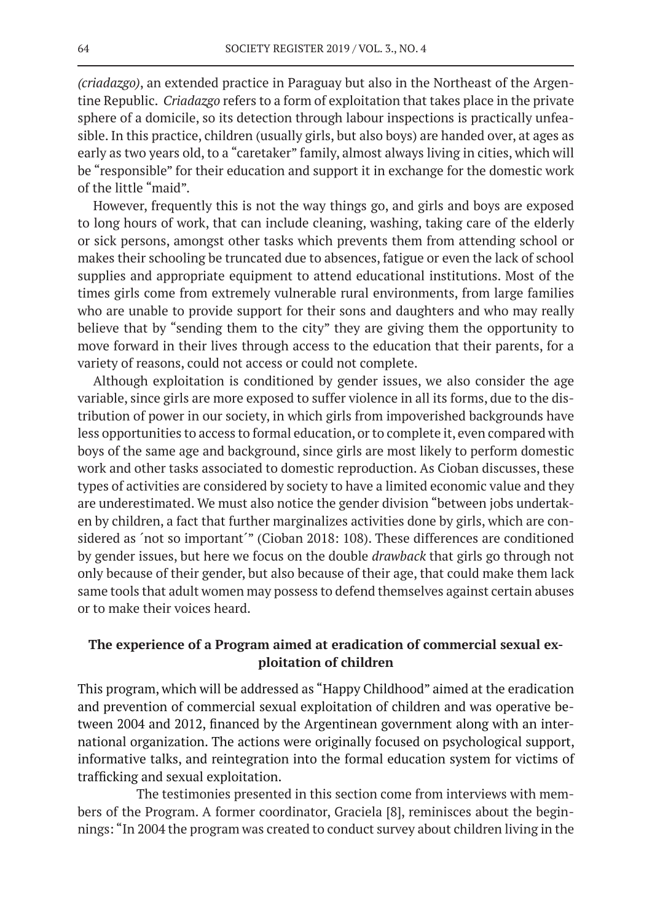*(criadazgo)*, an extended practice in Paraguay but also in the Northeast of the Argentine Republic. *Criadazgo* refers to a form of exploitation that takes place in the private sphere of a domicile, so its detection through labour inspections is practically unfeasible. In this practice, children (usually girls, but also boys) are handed over, at ages as early as two years old, to a "caretaker" family, almost always living in cities, which will be "responsible" for their education and support it in exchange for the domestic work of the little "maid".

However, frequently this is not the way things go, and girls and boys are exposed to long hours of work, that can include cleaning, washing, taking care of the elderly or sick persons, amongst other tasks which prevents them from attending school or makes their schooling be truncated due to absences, fatigue or even the lack of school supplies and appropriate equipment to attend educational institutions. Most of the times girls come from extremely vulnerable rural environments, from large families who are unable to provide support for their sons and daughters and who may really believe that by "sending them to the city" they are giving them the opportunity to move forward in their lives through access to the education that their parents, for a variety of reasons, could not access or could not complete.

Although exploitation is conditioned by gender issues, we also consider the age variable, since girls are more exposed to suffer violence in all its forms, due to the distribution of power in our society, in which girls from impoverished backgrounds have less opportunities to access to formal education, or to complete it, even compared with boys of the same age and background, since girls are most likely to perform domestic work and other tasks associated to domestic reproduction. As Cioban discusses, these types of activities are considered by society to have a limited economic value and they are underestimated. We must also notice the gender division "between jobs undertaken by children, a fact that further marginalizes activities done by girls, which are considered as 'not so important'" (Cioban 2018: 108). These differences are conditioned by gender issues, but here we focus on the double *drawback* that girls go through not only because of their gender, but also because of their age, that could make them lack same tools that adult women may possess to defend themselves against certain abuses or to make their voices heard.

# **The experience of a Program aimed at eradication of commercial sexual exploitation of children**

This program, which will be addressed as "Happy Childhood" aimed at the eradication and prevention of commercial sexual exploitation of children and was operative between 2004 and 2012, financed by the Argentinean government along with an international organization. The actions were originally focused on psychological support, informative talks, and reintegration into the formal education system for victims of trafficking and sexual exploitation.

 The testimonies presented in this section come from interviews with members of the Program. A former coordinator, Graciela [8], reminisces about the beginnings: "In 2004 the program was created to conduct survey about children living in the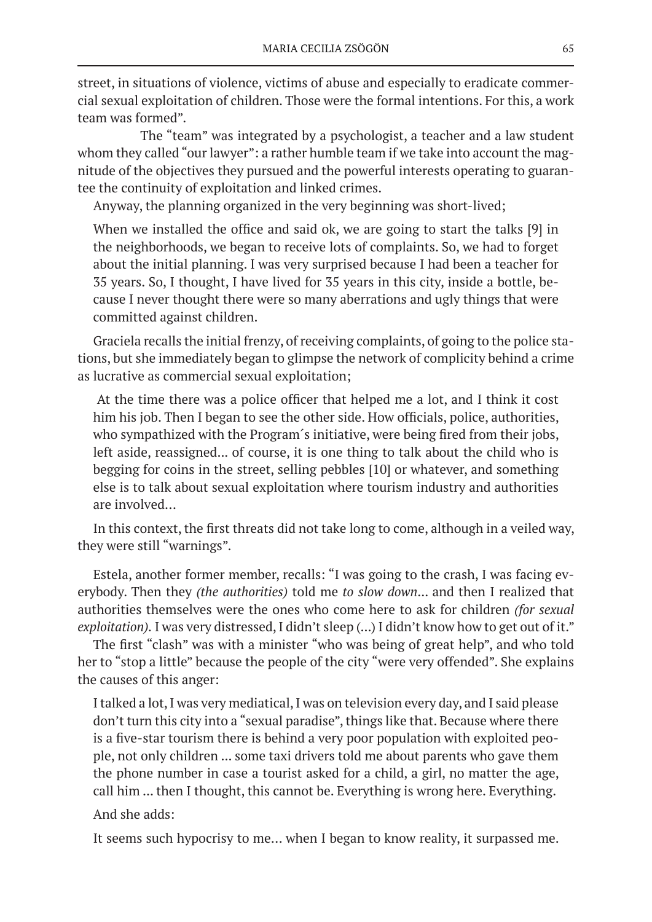street, in situations of violence, victims of abuse and especially to eradicate commercial sexual exploitation of children. Those were the formal intentions. For this, a work team was formed".

 The "team" was integrated by a psychologist, a teacher and a law student whom they called "our lawyer": a rather humble team if we take into account the magnitude of the objectives they pursued and the powerful interests operating to guarantee the continuity of exploitation and linked crimes.

Anyway, the planning organized in the very beginning was short-lived;

When we installed the office and said ok, we are going to start the talks [9] in the neighborhoods, we began to receive lots of complaints. So, we had to forget about the initial planning. I was very surprised because I had been a teacher for 35 years. So, I thought, I have lived for 35 years in this city, inside a bottle, because I never thought there were so many aberrations and ugly things that were committed against children.

Graciela recalls the initial frenzy, of receiving complaints, of going to the police stations, but she immediately began to glimpse the network of complicity behind a crime as lucrative as commercial sexual exploitation;

At the time there was a police officer that helped me a lot, and I think it cost him his job. Then I began to see the other side. How officials, police, authorities, who sympathized with the Program´s initiative, were being fired from their jobs, left aside, reassigned... of course, it is one thing to talk about the child who is begging for coins in the street, selling pebbles [10] or whatever, and something else is to talk about sexual exploitation where tourism industry and authorities are involved…

In this context, the first threats did not take long to come, although in a veiled way, they were still "warnings".

Estela, another former member, recalls: "I was going to the crash, I was facing everybody. Then they *(the authorities)* told me *to slow down*... and then I realized that authorities themselves were the ones who come here to ask for children *(for sexual exploitation).* I was very distressed, I didn't sleep (...) I didn't know how to get out of it."

The first "clash" was with a minister "who was being of great help", and who told her to "stop a little" because the people of the city "were very offended". She explains the causes of this anger:

I talked a lot, I was very mediatical, I was on television every day, and I said please don't turn this city into a "sexual paradise", things like that. Because where there is a five-star tourism there is behind a very poor population with exploited people, not only children ... some taxi drivers told me about parents who gave them the phone number in case a tourist asked for a child, a girl, no matter the age, call him ... then I thought, this cannot be. Everything is wrong here. Everything.

And she adds:

It seems such hypocrisy to me… when I began to know reality, it surpassed me.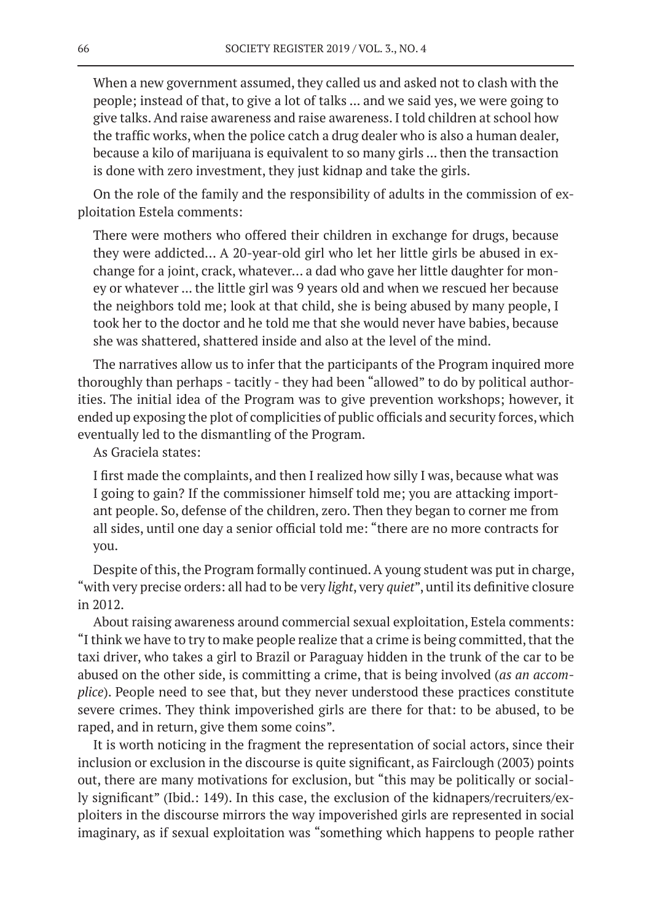When a new government assumed, they called us and asked not to clash with the people; instead of that, to give a lot of talks ... and we said yes, we were going to give talks. And raise awareness and raise awareness. I told children at school how the traffic works, when the police catch a drug dealer who is also a human dealer, because a kilo of marijuana is equivalent to so many girls ... then the transaction is done with zero investment, they just kidnap and take the girls.

On the role of the family and the responsibility of adults in the commission of exploitation Estela comments:

There were mothers who offered their children in exchange for drugs, because they were addicted… A 20-year-old girl who let her little girls be abused in exchange for a joint, crack, whatever… a dad who gave her little daughter for money or whatever ... the little girl was 9 years old and when we rescued her because the neighbors told me; look at that child, she is being abused by many people, I took her to the doctor and he told me that she would never have babies, because she was shattered, shattered inside and also at the level of the mind.

The narratives allow us to infer that the participants of the Program inquired more thoroughly than perhaps - tacitly - they had been "allowed" to do by political authorities. The initial idea of the Program was to give prevention workshops; however, it ended up exposing the plot of complicities of public officials and security forces, which eventually led to the dismantling of the Program.

As Graciela states:

I first made the complaints, and then I realized how silly I was, because what was I going to gain? If the commissioner himself told me; you are attacking important people. So, defense of the children, zero. Then they began to corner me from all sides, until one day a senior official told me: "there are no more contracts for you.

Despite of this, the Program formally continued. A young student was put in charge, "with very precise orders: all had to be very *light*, very *quiet*", until its definitive closure in 2012.

About raising awareness around commercial sexual exploitation, Estela comments: "I think we have to try to make people realize that a crime is being committed, that the taxi driver, who takes a girl to Brazil or Paraguay hidden in the trunk of the car to be abused on the other side, is committing a crime, that is being involved (*as an accomplice*). People need to see that, but they never understood these practices constitute severe crimes. They think impoverished girls are there for that: to be abused, to be raped, and in return, give them some coins".

It is worth noticing in the fragment the representation of social actors, since their inclusion or exclusion in the discourse is quite significant, as Fairclough (2003) points out, there are many motivations for exclusion, but "this may be politically or socially significant" (Ibid.: 149). In this case, the exclusion of the kidnapers/recruiters/exploiters in the discourse mirrors the way impoverished girls are represented in social imaginary, as if sexual exploitation was "something which happens to people rather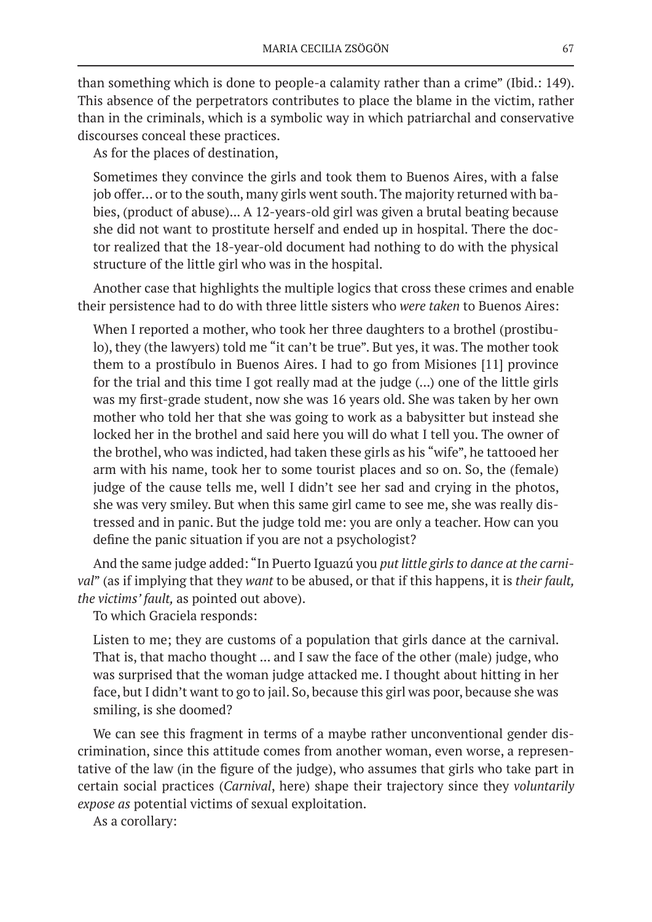than something which is done to people-a calamity rather than a crime" (Ibid.: 149). This absence of the perpetrators contributes to place the blame in the victim, rather than in the criminals, which is a symbolic way in which patriarchal and conservative discourses conceal these practices.

As for the places of destination,

Sometimes they convince the girls and took them to Buenos Aires, with a false job offer… or to the south, many girls went south. The majority returned with babies, (product of abuse)... A 12-years-old girl was given a brutal beating because she did not want to prostitute herself and ended up in hospital. There the doctor realized that the 18-year-old document had nothing to do with the physical structure of the little girl who was in the hospital.

Another case that highlights the multiple logics that cross these crimes and enable their persistence had to do with three little sisters who *were taken* to Buenos Aires:

When I reported a mother, who took her three daughters to a brothel (prostibulo), they (the lawyers) told me "it can't be true". But yes, it was. The mother took them to a prostíbulo in Buenos Aires. I had to go from Misiones [11] province for the trial and this time I got really mad at the judge (...) one of the little girls was my first-grade student, now she was 16 years old. She was taken by her own mother who told her that she was going to work as a babysitter but instead she locked her in the brothel and said here you will do what I tell you. The owner of the brothel, who was indicted, had taken these girls as his "wife", he tattooed her arm with his name, took her to some tourist places and so on. So, the (female) judge of the cause tells me, well I didn't see her sad and crying in the photos, she was very smiley. But when this same girl came to see me, she was really distressed and in panic. But the judge told me: you are only a teacher. How can you define the panic situation if you are not a psychologist?

And the same judge added: "In Puerto Iguazú you *put little girls to dance at the carnival*" (as if implying that they *want* to be abused, or that if this happens, it is *their fault, the victims' fault,* as pointed out above).

To which Graciela responds:

Listen to me; they are customs of a population that girls dance at the carnival. That is, that macho thought ... and I saw the face of the other (male) judge, who was surprised that the woman judge attacked me. I thought about hitting in her face, but I didn't want to go to jail. So, because this girl was poor, because she was smiling, is she doomed?

We can see this fragment in terms of a maybe rather unconventional gender discrimination, since this attitude comes from another woman, even worse, a representative of the law (in the figure of the judge), who assumes that girls who take part in certain social practices (*Carnival*, here) shape their trajectory since they *voluntarily expose as* potential victims of sexual exploitation.

As a corollary: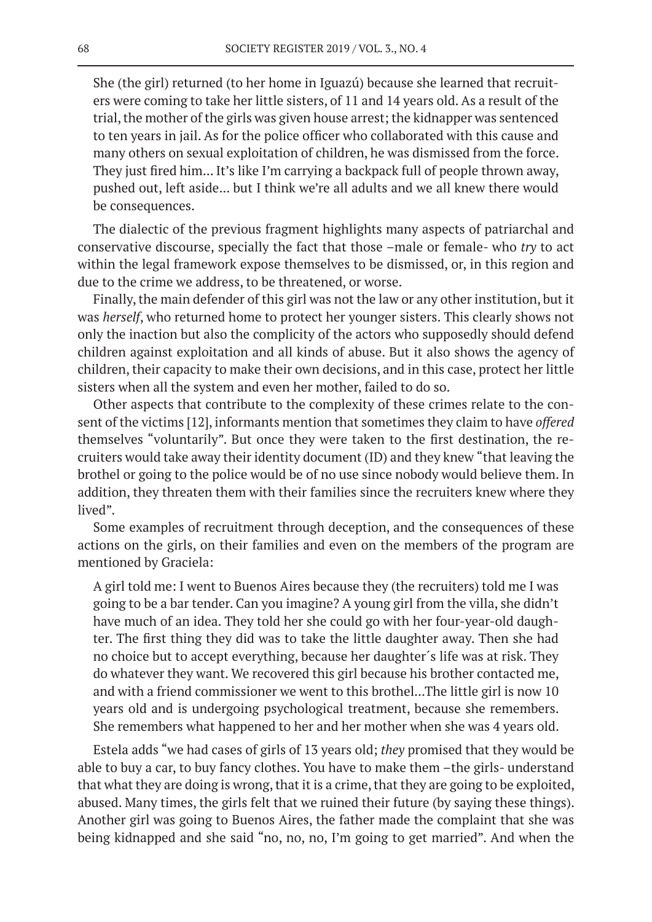She (the girl) returned (to her home in Iguazú) because she learned that recruiters were coming to take her little sisters, of 11 and 14 years old. As a result of the trial, the mother of the girls was given house arrest; the kidnapper was sentenced to ten years in jail. As for the police officer who collaborated with this cause and many others on sexual exploitation of children, he was dismissed from the force. They just fired him... It's like I'm carrying a backpack full of people thrown away, pushed out, left aside... but I think we're all adults and we all knew there would be consequences.

The dialectic of the previous fragment highlights many aspects of patriarchal and conservative discourse, specially the fact that those –male or female- who *try* to act within the legal framework expose themselves to be dismissed, or, in this region and due to the crime we address, to be threatened, or worse.

Finally, the main defender of this girl was not the law or any other institution, but it was *herself*, who returned home to protect her younger sisters. This clearly shows not only the inaction but also the complicity of the actors who supposedly should defend children against exploitation and all kinds of abuse. But it also shows the agency of children, their capacity to make their own decisions, and in this case, protect her little sisters when all the system and even her mother, failed to do so.

Other aspects that contribute to the complexity of these crimes relate to the consent of the victims [12], informants mention that sometimes they claim to have *offered* themselves "voluntarily". But once they were taken to the first destination, the recruiters would take away their identity document (ID) and they knew "that leaving the brothel or going to the police would be of no use since nobody would believe them. In addition, they threaten them with their families since the recruiters knew where they lived".

Some examples of recruitment through deception, and the consequences of these actions on the girls, on their families and even on the members of the program are mentioned by Graciela:

A girl told me: I went to Buenos Aires because they (the recruiters) told me I was going to be a bar tender. Can you imagine? A young girl from the villa, she didn't have much of an idea. They told her she could go with her four-year-old daughter. The first thing they did was to take the little daughter away. Then she had no choice but to accept everything, because her daughter´s life was at risk. They do whatever they want. We recovered this girl because his brother contacted me, and with a friend commissioner we went to this brothel...The little girl is now 10 years old and is undergoing psychological treatment, because she remembers. She remembers what happened to her and her mother when she was 4 years old.

Estela adds "we had cases of girls of 13 years old; *they* promised that they would be able to buy a car, to buy fancy clothes. You have to make them –the girls- understand that what they are doing is wrong, that it is a crime, that they are going to be exploited, abused. Many times, the girls felt that we ruined their future (by saying these things). Another girl was going to Buenos Aires, the father made the complaint that she was being kidnapped and she said "no, no, no, I'm going to get married". And when the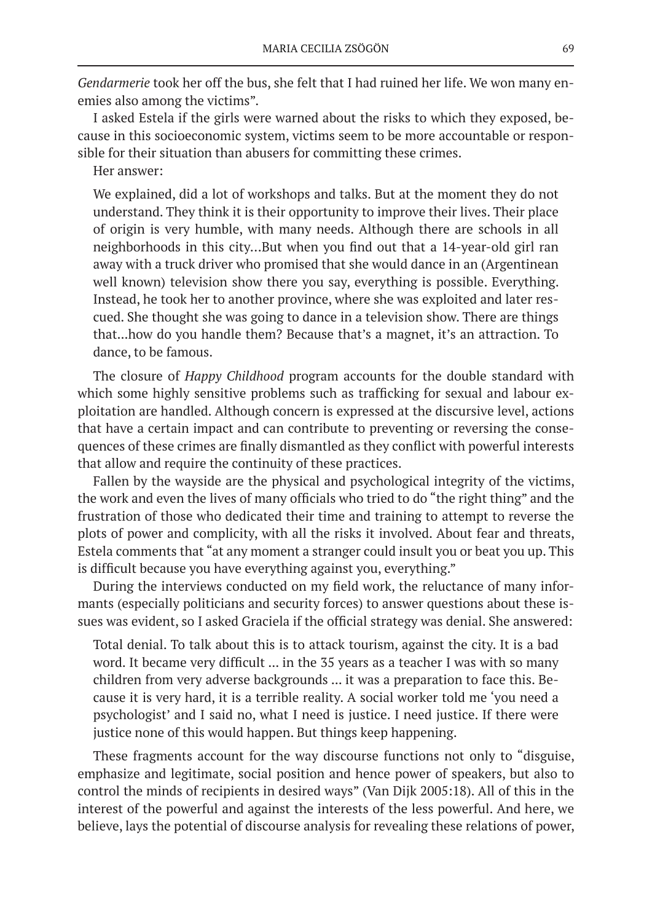*Gendarmerie* took her off the bus, she felt that I had ruined her life. We won many enemies also among the victims".

I asked Estela if the girls were warned about the risks to which they exposed, because in this socioeconomic system, victims seem to be more accountable or responsible for their situation than abusers for committing these crimes.

Her answer:

We explained, did a lot of workshops and talks. But at the moment they do not understand. They think it is their opportunity to improve their lives. Their place of origin is very humble, with many needs. Although there are schools in all neighborhoods in this city…But when you find out that a 14-year-old girl ran away with a truck driver who promised that she would dance in an (Argentinean well known) television show there you say, everything is possible. Everything. Instead, he took her to another province, where she was exploited and later rescued. She thought she was going to dance in a television show. There are things that...how do you handle them? Because that's a magnet, it's an attraction. To dance, to be famous.

The closure of *Happy Childhood* program accounts for the double standard with which some highly sensitive problems such as trafficking for sexual and labour exploitation are handled. Although concern is expressed at the discursive level, actions that have a certain impact and can contribute to preventing or reversing the consequences of these crimes are finally dismantled as they conflict with powerful interests that allow and require the continuity of these practices.

Fallen by the wayside are the physical and psychological integrity of the victims, the work and even the lives of many officials who tried to do "the right thing" and the frustration of those who dedicated their time and training to attempt to reverse the plots of power and complicity, with all the risks it involved. About fear and threats, Estela comments that "at any moment a stranger could insult you or beat you up. This is difficult because you have everything against you, everything."

During the interviews conducted on my field work, the reluctance of many informants (especially politicians and security forces) to answer questions about these issues was evident, so I asked Graciela if the official strategy was denial. She answered:

Total denial. To talk about this is to attack tourism, against the city. It is a bad word. It became very difficult ... in the 35 years as a teacher I was with so many children from very adverse backgrounds ... it was a preparation to face this. Because it is very hard, it is a terrible reality. A social worker told me 'you need a psychologist' and I said no, what I need is justice. I need justice. If there were justice none of this would happen. But things keep happening.

These fragments account for the way discourse functions not only to "disguise, emphasize and legitimate, social position and hence power of speakers, but also to control the minds of recipients in desired ways" (Van Dijk 2005:18). All of this in the interest of the powerful and against the interests of the less powerful. And here, we believe, lays the potential of discourse analysis for revealing these relations of power,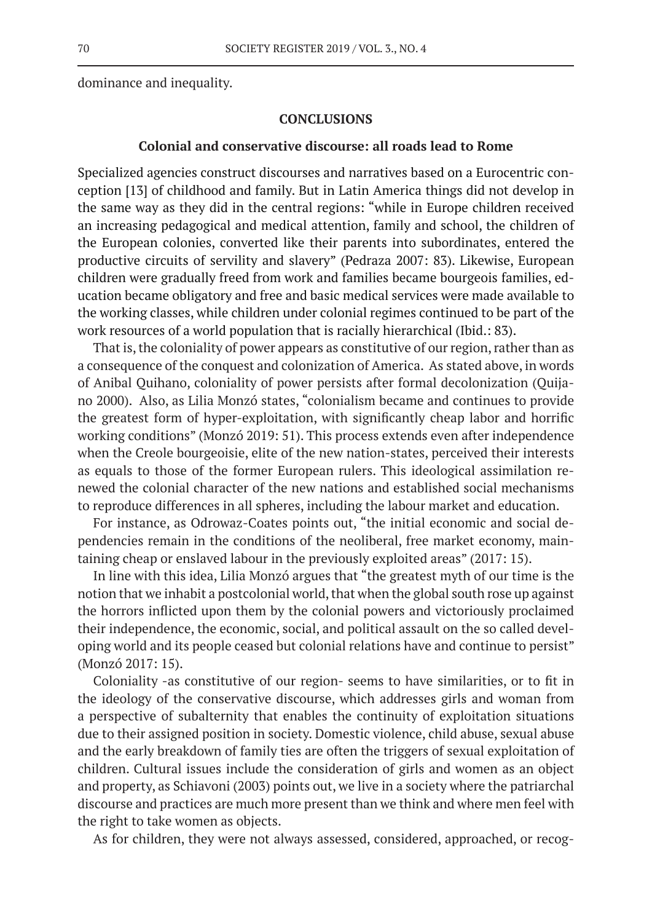dominance and inequality.

#### **CONCLUSIONS**

#### **Colonial and conservative discourse: all roads lead to Rome**

Specialized agencies construct discourses and narratives based on a Eurocentric conception [13] of childhood and family. But in Latin America things did not develop in the same way as they did in the central regions: "while in Europe children received an increasing pedagogical and medical attention, family and school, the children of the European colonies, converted like their parents into subordinates, entered the productive circuits of servility and slavery" (Pedraza 2007: 83). Likewise, European children were gradually freed from work and families became bourgeois families, education became obligatory and free and basic medical services were made available to the working classes, while children under colonial regimes continued to be part of the work resources of a world population that is racially hierarchical (Ibid.: 83).

That is, the coloniality of power appears as constitutive of our region, rather than as a consequence of the conquest and colonization of America. As stated above, in words of Anibal Quihano, coloniality of power persists after formal decolonization (Quijano 2000). Also, as Lilia Monzó states, "colonialism became and continues to provide the greatest form of hyper-exploitation, with significantly cheap labor and horrific working conditions" (Monzó 2019: 51). This process extends even after independence when the Creole bourgeoisie, elite of the new nation-states, perceived their interests as equals to those of the former European rulers. This ideological assimilation renewed the colonial character of the new nations and established social mechanisms to reproduce differences in all spheres, including the labour market and education.

For instance, as Odrowaz-Coates points out, "the initial economic and social dependencies remain in the conditions of the neoliberal, free market economy, maintaining cheap or enslaved labour in the previously exploited areas" (2017: 15).

In line with this idea, Lilia Monzó argues that "the greatest myth of our time is the notion that we inhabit a postcolonial world, that when the global south rose up against the horrors inflicted upon them by the colonial powers and victoriously proclaimed their independence, the economic, social, and political assault on the so called developing world and its people ceased but colonial relations have and continue to persist" (Monzó 2017: 15).

Coloniality -as constitutive of our region- seems to have similarities, or to fit in the ideology of the conservative discourse, which addresses girls and woman from a perspective of subalternity that enables the continuity of exploitation situations due to their assigned position in society. Domestic violence, child abuse, sexual abuse and the early breakdown of family ties are often the triggers of sexual exploitation of children. Cultural issues include the consideration of girls and women as an object and property, as Schiavoni (2003) points out, we live in a society where the patriarchal discourse and practices are much more present than we think and where men feel with the right to take women as objects.

As for children, they were not always assessed, considered, approached, or recog-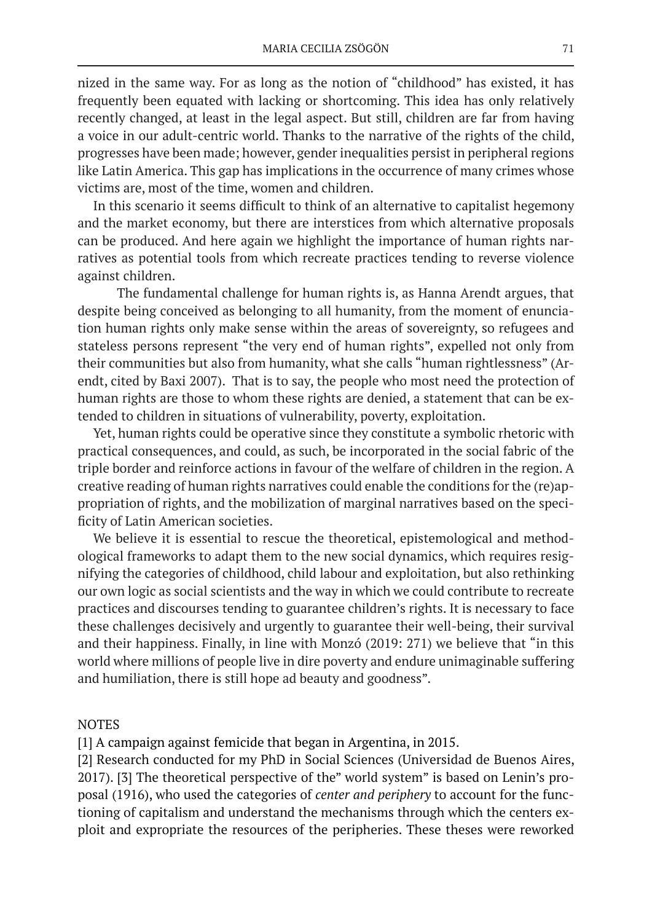nized in the same way. For as long as the notion of "childhood" has existed, it has frequently been equated with lacking or shortcoming. This idea has only relatively recently changed, at least in the legal aspect. But still, children are far from having a voice in our adult-centric world. Thanks to the narrative of the rights of the child, progresses have been made; however, gender inequalities persist in peripheral regions like Latin America. This gap has implications in the occurrence of many crimes whose victims are, most of the time, women and children.

In this scenario it seems difficult to think of an alternative to capitalist hegemony and the market economy, but there are interstices from which alternative proposals can be produced. And here again we highlight the importance of human rights narratives as potential tools from which recreate practices tending to reverse violence against children.

The fundamental challenge for human rights is, as Hanna Arendt argues, that despite being conceived as belonging to all humanity, from the moment of enunciation human rights only make sense within the areas of sovereignty, so refugees and stateless persons represent "the very end of human rights", expelled not only from their communities but also from humanity, what she calls "human rightlessness" (Arendt, cited by Baxi 2007). That is to say, the people who most need the protection of human rights are those to whom these rights are denied, a statement that can be extended to children in situations of vulnerability, poverty, exploitation.

Yet, human rights could be operative since they constitute a symbolic rhetoric with practical consequences, and could, as such, be incorporated in the social fabric of the triple border and reinforce actions in favour of the welfare of children in the region. A creative reading of human rights narratives could enable the conditions for the (re)appropriation of rights, and the mobilization of marginal narratives based on the specificity of Latin American societies.

We believe it is essential to rescue the theoretical, epistemological and methodological frameworks to adapt them to the new social dynamics, which requires resignifying the categories of childhood, child labour and exploitation, but also rethinking our own logic as social scientists and the way in which we could contribute to recreate practices and discourses tending to guarantee children's rights. It is necessary to face these challenges decisively and urgently to guarantee their well-being, their survival and their happiness. Finally, in line with Monzó (2019: 271) we believe that "in this world where millions of people live in dire poverty and endure unimaginable suffering and humiliation, there is still hope ad beauty and goodness".

### NOTES

[1] A campaign against femicide that began in Argentina, in 2015.

[2] Research conducted for my PhD in Social Sciences (Universidad de Buenos Aires, 2017). [3] The theoretical perspective of the" world system" is based on Lenin's proposal (1916), who used the categories of *center and periphery* to account for the functioning of capitalism and understand the mechanisms through which the centers exploit and expropriate the resources of the peripheries. These theses were reworked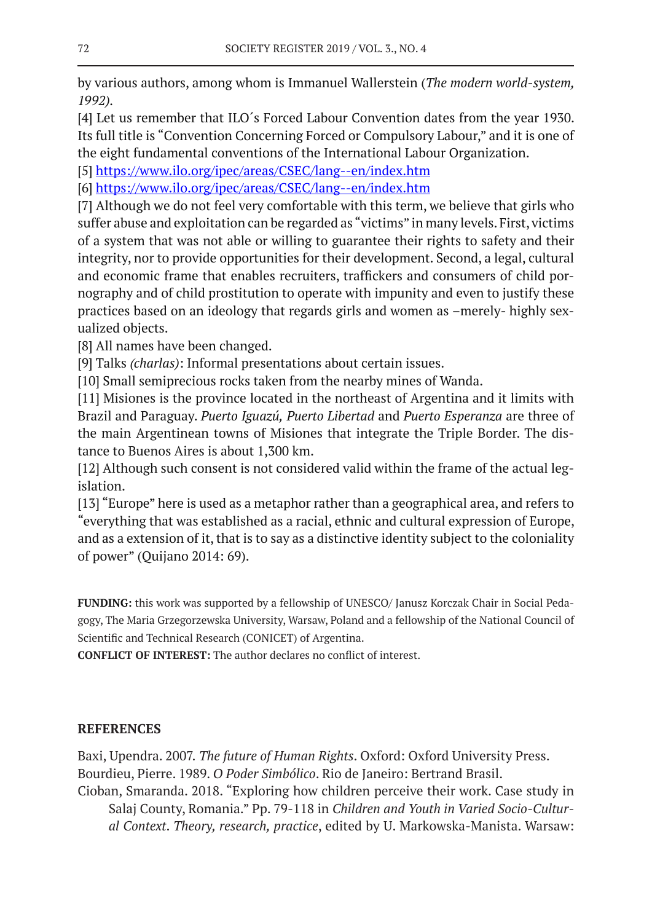by various authors, among whom is Immanuel Wallerstein (*The modern world-system, 1992).*

[4] Let us remember that ILO´s Forced Labour Convention dates from the year 1930. Its full title is "Convention Concerning Forced or Compulsory Labour," and it is one of the eight fundamental conventions of the International Labour Organization.

[5] https://www.ilo.org/ipec/areas/CSEC/lang--en/index.htm

[6] https://www.ilo.org/ipec/areas/CSEC/lang--en/index.htm

[7] Although we do not feel very comfortable with this term, we believe that girls who suffer abuse and exploitation can be regarded as "victims" in many levels. First, victims of a system that was not able or willing to guarantee their rights to safety and their integrity, nor to provide opportunities for their development. Second, a legal, cultural and economic frame that enables recruiters, traffickers and consumers of child pornography and of child prostitution to operate with impunity and even to justify these practices based on an ideology that regards girls and women as –merely- highly sexualized objects.

[8] All names have been changed.

[9] Talks *(charlas)*: Informal presentations about certain issues.

[10] Small semiprecious rocks taken from the nearby mines of Wanda.

[11] Misiones is the province located in the northeast of Argentina and it limits with Brazil and Paraguay. *Puerto Iguazú, Puerto Libertad* and *Puerto Esperanza* are three of the main Argentinean towns of Misiones that integrate the Triple Border. The distance to Buenos Aires is about 1,300 km.

[12] Although such consent is not considered valid within the frame of the actual legislation.

[13] "Europe" here is used as a metaphor rather than a geographical area, and refers to "everything that was established as a racial, ethnic and cultural expression of Europe, and as a extension of it, that is to say as a distinctive identity subject to the coloniality of power" (Quijano 2014: 69).

**FUNDING:** this work was supported by a fellowship of UNESCO/ Janusz Korczak Chair in Social Pedagogy, The Maria Grzegorzewska University, Warsaw, Poland and a fellowship of the National Council of Scientific and Technical Research (CONICET) of Argentina.

**CONFLICT OF INTEREST:** The author declares no conflict of interest.

# **REFERENCES**

Baxi, Upendra. 2007. *The future of Human Rights*. Oxford: Oxford University Press. Bourdieu, Pierre. 1989. *O Poder Simbólico*. Rio de Janeiro: Bertrand Brasil.

Cioban, Smaranda. 2018. "Exploring how children perceive their work. Case study in Salaj County, Romania." Pp. 79-118 in *Children and Youth in Varied Socio-Cultural Context*. *Theory, research, practice*, edited by U. Markowska-Manista. Warsaw: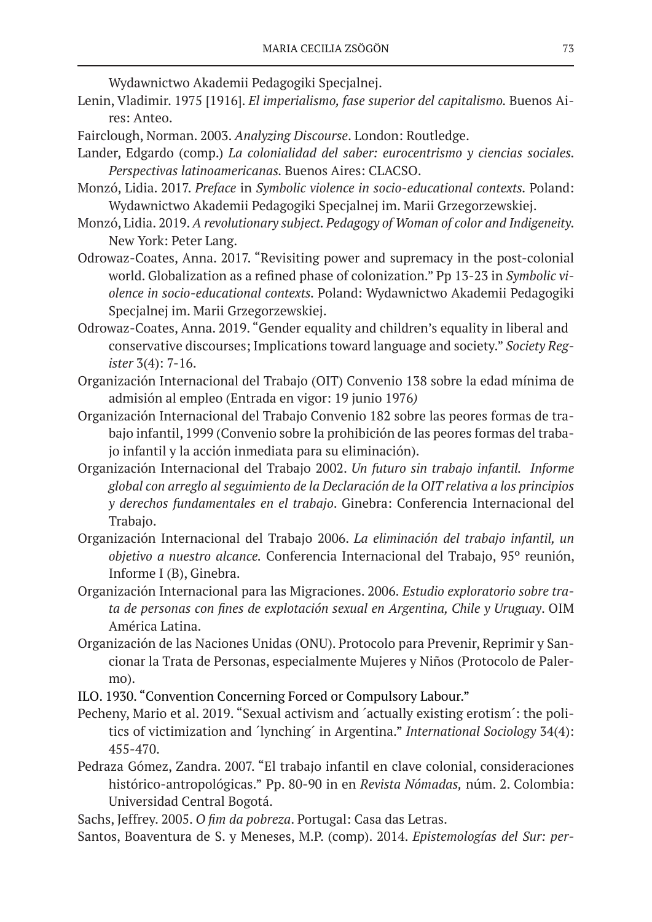Wydawnictwo Akademii Pedagogiki Specjalnej.

- Lenin, Vladimir. 1975 [1916]. *El imperialismo, fase superior del capitalismo.* Buenos Aires: Anteo.
- Fairclough, Norman. 2003. *Analyzing Discourse*. London: Routledge.
- Lander, Edgardo (comp.) *La colonialidad del saber: eurocentrismo y ciencias sociales. Perspectivas latinoamericanas.* Buenos Aires: CLACSO.
- Monzó, Lidia. 2017. *Preface* in *Symbolic violence in socio-educational contexts.* Poland: Wydawnictwo Akademii Pedagogiki Specjalnej im. Marii Grzegorzewskiej.
- Monzó, Lidia. 2019. *A revolutionary subject. Pedagogy of Woman of color and Indigeneity.*  New York: Peter Lang.
- Odrowaz-Coates, Anna. 2017. "Revisiting power and supremacy in the post-colonial world. Globalization as a refined phase of colonization." Pp 13-23 in *Symbolic violence in socio-educational contexts.* Poland: Wydawnictwo Akademii Pedagogiki Specjalnej im. Marii Grzegorzewskiej.
- Odrowaz-Coates, Anna. 2019. "Gender equality and children's equality in liberal and conservative discourses; Implications toward language and society." *Society Register* 3(4): 7-16.
- Organización Internacional del Trabajo (OIT) Convenio 138 sobre la edad mínima de admisión al empleo (Entrada en vigor: 19 junio 1976*)*
- Organización Internacional del Trabajo Convenio 182 sobre las peores formas de trabajo infantil, 1999 (Convenio sobre la prohibición de las peores formas del trabajo infantil y la acción inmediata para su eliminación).
- Organización Internacional del Trabajo 2002. *Un futuro sin trabajo infantil. Informe global con arreglo al seguimiento de la Declaración de la OIT relativa a los principios y derechos fundamentales en el trabajo*. Ginebra: Conferencia Internacional del Trabajo.
- Organización Internacional del Trabajo 2006. *La eliminación del trabajo infantil, un objetivo a nuestro alcance.* Conferencia Internacional del Trabajo, 95º reunión, Informe I (B), Ginebra.
- Organización Internacional para las Migraciones. 2006. *Estudio exploratorio sobre trata de personas con fines de explotación sexual en Argentina, Chile y Uruguay*. OIM América Latina.
- Organización de las Naciones Unidas (ONU). Protocolo para Prevenir, Reprimir y Sancionar la Trata de Personas, especialmente Mujeres y Niños (Protocolo de Palermo).
- ILO. 1930. "Convention Concerning Forced or Compulsory Labour."
- Pecheny, Mario et al. 2019. "Sexual activism and ´actually existing erotism´: the politics of victimization and ´lynching´ in Argentina." *International Sociology* 34(4): 455-470.
- Pedraza Gómez, Zandra. 2007. "El trabajo infantil en clave colonial, consideraciones histórico-antropológicas." Pp. 80-90 in en *Revista Nómadas,* núm. 2. Colombia: Universidad Central Bogotá.
- Sachs, Jeffrey. 2005. *O fim da pobreza*. Portugal: Casa das Letras.
- Santos, Boaventura de S. y Meneses, M.P. (comp). 2014. *Epistemologías del Sur: per-*